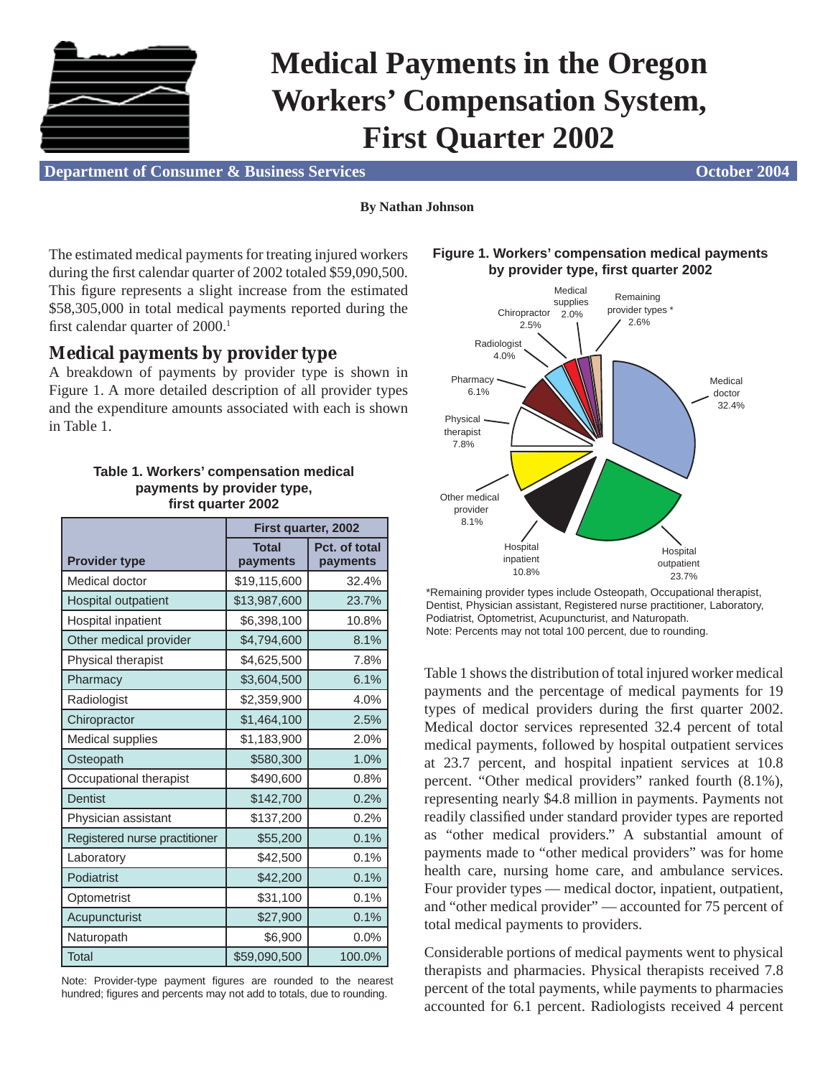

# **Medical Payments in the Oregon Workers' Compensation System, First Quarter 2002**

**Department of Consumer & Business Services Consumer Application Consumer Application Consumer & Business Services** 

#### **By Nathan Johnson**

The estimated medical payments for treating injured workers during the first calendar quarter of 2002 totaled \$59,090,500. This figure represents a slight increase from the estimated \$58,305,000 in total medical payments reported during the first calendar quarter of  $2000$ .<sup>1</sup>

## **Medical payments by provider type**

A breakdown of payments by provider type is shown in Figure 1. A more detailed description of all provider types and the expenditure amounts associated with each is shown in Table 1.

#### **Table 1. Workers' compensation medical payments by provider type, fi rst quarter 2002**

|                               | First quarter, 2002      |                           |  |  |
|-------------------------------|--------------------------|---------------------------|--|--|
| <b>Provider type</b>          | <b>Total</b><br>payments | Pct. of total<br>payments |  |  |
| Medical doctor                | \$19,115,600             | 32.4%                     |  |  |
| <b>Hospital outpatient</b>    | \$13,987,600             | 23.7%                     |  |  |
| Hospital inpatient            | \$6,398,100              | 10.8%                     |  |  |
| Other medical provider        | \$4,794,600              | 8.1%                      |  |  |
| Physical therapist            | \$4,625,500              | 7.8%                      |  |  |
| Pharmacy                      | \$3,604,500              | 6.1%                      |  |  |
| Radiologist                   | \$2,359,900              | 4.0%                      |  |  |
| Chiropractor                  | \$1,464,100              | 2.5%                      |  |  |
| <b>Medical supplies</b>       | \$1,183,900              | 2.0%                      |  |  |
| Osteopath                     | \$580,300                | 1.0%                      |  |  |
| Occupational therapist        | \$490,600                | 0.8%                      |  |  |
| <b>Dentist</b>                | \$142,700                | 0.2%                      |  |  |
| Physician assistant           | \$137,200                | 0.2%                      |  |  |
| Registered nurse practitioner | \$55,200                 | 0.1%                      |  |  |
| Laboratory                    | \$42,500                 | 0.1%                      |  |  |
| Podiatrist                    | \$42,200                 | 0.1%                      |  |  |
| Optometrist                   | \$31,100                 | 0.1%                      |  |  |
| Acupuncturist                 | \$27,900                 | 0.1%                      |  |  |
| Naturopath                    | \$6,900                  | 0.0%                      |  |  |
| Total                         | \$59,090,500             | 100.0%                    |  |  |

Note: Provider-type payment figures are rounded to the nearest hundred; figures and percents may not add to totals, due to rounding.



#### **Figure 1. Workers' compensation medical payments by provider type, fi rst quarter 2002**

\*Remaining provider types include Osteopath, Occupational therapist, Dentist, Physician assistant, Registered nurse practitioner, Laboratory, Podiatrist, Optometrist, Acupuncturist, and Naturopath. Note: Percents may not total 100 percent, due to rounding.

Table 1 shows the distribution of total injured worker medical payments and the percentage of medical payments for 19 types of medical providers during the first quarter 2002. Medical doctor services represented 32.4 percent of total medical payments, followed by hospital outpatient services at 23.7 percent, and hospital inpatient services at 10.8 percent. "Other medical providers" ranked fourth (8.1%), representing nearly \$4.8 million in payments. Payments not readily classified under standard provider types are reported as "other medical providers." A substantial amount of payments made to "other medical providers" was for home health care, nursing home care, and ambulance services. Four provider types — medical doctor, inpatient, outpatient, and "other medical provider" — accounted for 75 percent of total medical payments to providers.

Considerable portions of medical payments went to physical therapists and pharmacies. Physical therapists received 7.8 percent of the total payments, while payments to pharmacies accounted for 6.1 percent. Radiologists received 4 percent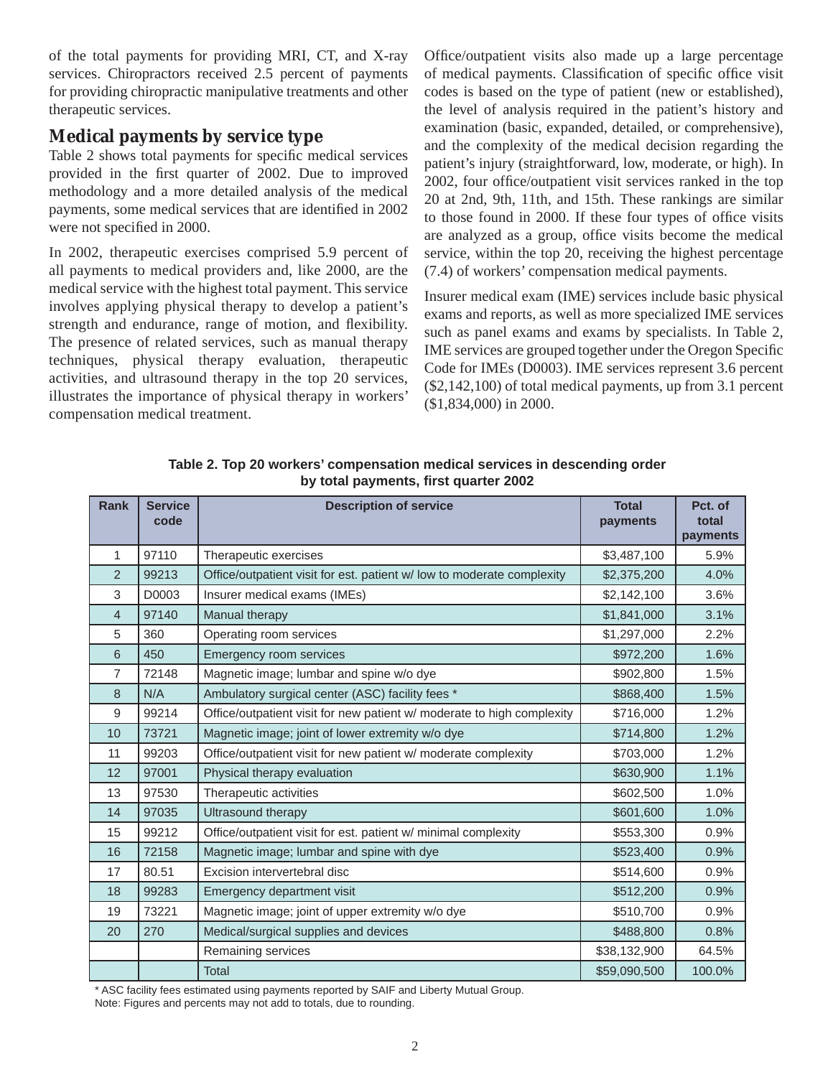of the total payments for providing MRI, CT, and X-ray services. Chiropractors received 2.5 percent of payments for providing chiropractic manipulative treatments and other therapeutic services.

## **Medical payments by service type**

Table 2 shows total payments for specific medical services provided in the first quarter of 2002. Due to improved methodology and a more detailed analysis of the medical payments, some medical services that are identified in 2002 were not specified in 2000.

In 2002, therapeutic exercises comprised 5.9 percent of all payments to medical providers and, like 2000, are the medical service with the highest total payment. This service involves applying physical therapy to develop a patient's strength and endurance, range of motion, and flexibility. The presence of related services, such as manual therapy techniques, physical therapy evaluation, therapeutic activities, and ultrasound therapy in the top 20 services, illustrates the importance of physical therapy in workers' compensation medical treatment.

Office/outpatient visits also made up a large percentage of medical payments. Classification of specific office visit codes is based on the type of patient (new or established), the level of analysis required in the patient's history and examination (basic, expanded, detailed, or comprehensive), and the complexity of the medical decision regarding the patient's injury (straightforward, low, moderate, or high). In 2002, four office/outpatient visit services ranked in the top 20 at 2nd, 9th, 11th, and 15th. These rankings are similar to those found in 2000. If these four types of office visits are analyzed as a group, office visits become the medical service, within the top 20, receiving the highest percentage (7.4) of workers' compensation medical payments.

Insurer medical exam (IME) services include basic physical exams and reports, as well as more specialized IME services such as panel exams and exams by specialists. In Table 2, IME services are grouped together under the Oregon Specific Code for IMEs (D0003). IME services represent 3.6 percent (\$2,142,100) of total medical payments, up from 3.1 percent (\$1,834,000) in 2000.

| <b>Rank</b>    | <b>Service</b><br>code | <b>Description of service</b>                                          | <b>Total</b><br>payments | Pct. of<br>total<br>payments |
|----------------|------------------------|------------------------------------------------------------------------|--------------------------|------------------------------|
| 1              | 97110                  | Therapeutic exercises                                                  | \$3,487,100              | 5.9%                         |
| $\overline{2}$ | 99213                  | Office/outpatient visit for est. patient w/ low to moderate complexity | \$2,375,200              | 4.0%                         |
| 3              | D0003                  | Insurer medical exams (IMEs)                                           | \$2,142,100              | 3.6%                         |
| 4              | 97140                  | Manual therapy                                                         | \$1,841,000              | 3.1%                         |
| 5              | 360                    | Operating room services                                                | \$1,297,000              | 2.2%                         |
| 6              | 450                    | Emergency room services                                                | \$972,200                | 1.6%                         |
| $\overline{7}$ | 72148                  | Magnetic image; lumbar and spine w/o dye                               | \$902,800                | 1.5%                         |
| 8              | N/A                    | Ambulatory surgical center (ASC) facility fees *                       | \$868,400                | 1.5%                         |
| 9              | 99214                  | Office/outpatient visit for new patient w/ moderate to high complexity | \$716,000                | 1.2%                         |
| 10             | 73721                  | Magnetic image; joint of lower extremity w/o dye                       | \$714,800                | 1.2%                         |
| 11             | 99203                  | Office/outpatient visit for new patient w/ moderate complexity         | \$703,000                | 1.2%                         |
| 12             | 97001                  | Physical therapy evaluation                                            | \$630,900                | 1.1%                         |
| 13             | 97530                  | Therapeutic activities                                                 | \$602,500                | 1.0%                         |
| 14             | 97035                  | Ultrasound therapy                                                     | \$601,600                | 1.0%                         |
| 15             | 99212                  | Office/outpatient visit for est. patient w/ minimal complexity         | \$553,300                | 0.9%                         |
| 16             | 72158                  | Magnetic image; lumbar and spine with dye                              | \$523,400                | 0.9%                         |
| 17             | 80.51                  | Excision intervertebral disc                                           | \$514,600                | 0.9%                         |
| 18             | 99283                  | Emergency department visit                                             | \$512,200                | 0.9%                         |
| 19             | 73221                  | Magnetic image; joint of upper extremity w/o dye                       | \$510,700                | 0.9%                         |
| 20             | 270                    | Medical/surgical supplies and devices                                  | \$488,800                | 0.8%                         |
|                |                        | Remaining services                                                     | \$38,132,900             | 64.5%                        |
|                |                        | <b>Total</b>                                                           | \$59,090,500             | 100.0%                       |

**Table 2. Top 20 workers' compensation medical services in descending order by total payments, fi rst quarter 2002**

\* ASC facility fees estimated using payments reported by SAIF and Liberty Mutual Group.

Note: Figures and percents may not add to totals, due to rounding.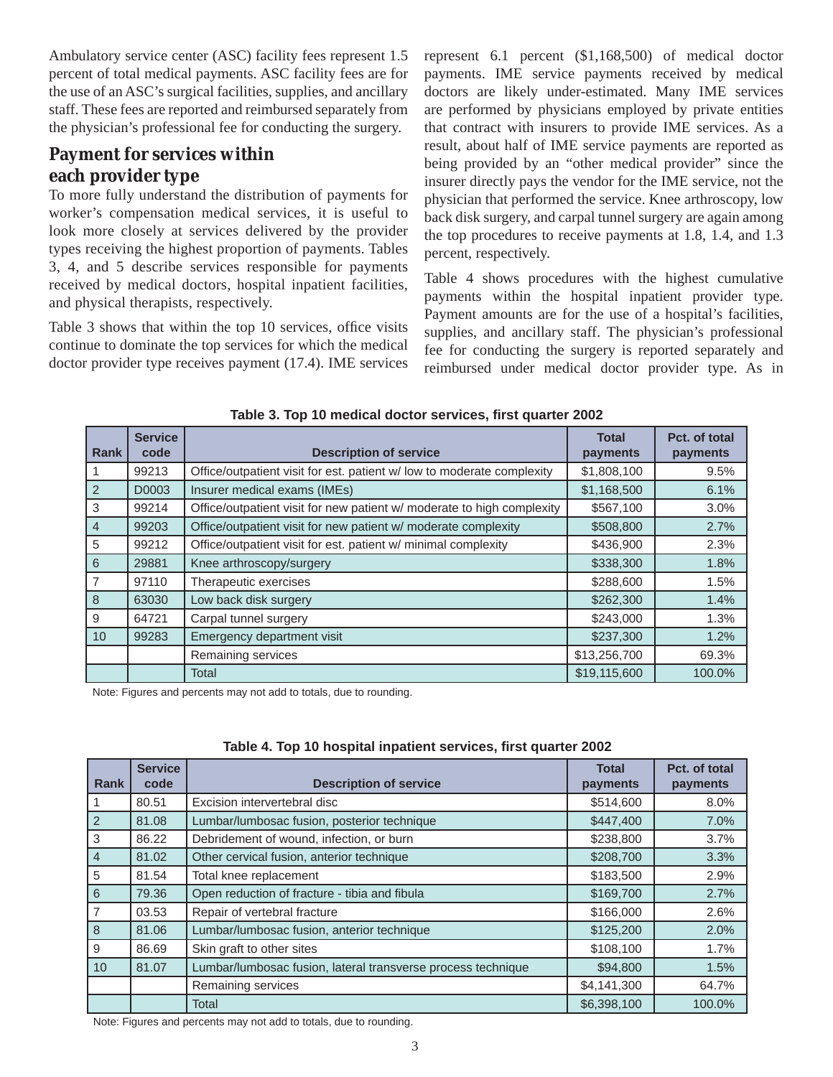Ambulatory service center (ASC) facility fees represent 1.5 percent of total medical payments. ASC facility fees are for the use of an ASC's surgical facilities, supplies, and ancillary staff. These fees are reported and reimbursed separately from the physician's professional fee for conducting the surgery.

# **Payment for services within each provider type**

To more fully understand the distribution of payments for worker's compensation medical services, it is useful to look more closely at services delivered by the provider types receiving the highest proportion of payments. Tables 3, 4, and 5 describe services responsible for payments received by medical doctors, hospital inpatient facilities, and physical therapists, respectively.

Table 3 shows that within the top 10 services, office visits continue to dominate the top services for which the medical doctor provider type receives payment (17.4). IME services represent 6.1 percent (\$1,168,500) of medical doctor payments. IME service payments received by medical doctors are likely under-estimated. Many IME services are performed by physicians employed by private entities that contract with insurers to provide IME services. As a result, about half of IME service payments are reported as being provided by an "other medical provider" since the insurer directly pays the vendor for the IME service, not the physician that performed the service. Knee arthroscopy, low back disk surgery, and carpal tunnel surgery are again among the top procedures to receive payments at 1.8, 1.4, and 1.3 percent, respectively.

Table 4 shows procedures with the highest cumulative payments within the hospital inpatient provider type. Payment amounts are for the use of a hospital's facilities, supplies, and ancillary staff. The physician's professional fee for conducting the surgery is reported separately and reimbursed under medical doctor provider type. As in

| <b>Rank</b>    | <b>Service</b><br>code | <b>Description of service</b>                                          | <b>Total</b><br>payments | Pct. of total<br>payments |
|----------------|------------------------|------------------------------------------------------------------------|--------------------------|---------------------------|
|                | 99213                  | Office/outpatient visit for est. patient w/ low to moderate complexity | \$1,808,100              | 9.5%                      |
| 2              | D0003                  | Insurer medical exams (IMEs)                                           | \$1,168,500              | 6.1%                      |
| 3              | 99214                  | Office/outpatient visit for new patient w/ moderate to high complexity | \$567,100                | 3.0%                      |
| $\overline{4}$ | 99203                  | Office/outpatient visit for new patient w/ moderate complexity         | \$508,800                | 2.7%                      |
| 5              | 99212                  | Office/outpatient visit for est. patient w/ minimal complexity         | \$436,900                | 2.3%                      |
| 6              | 29881                  | Knee arthroscopy/surgery                                               | \$338,300                | 1.8%                      |
| $\overline{7}$ | 97110                  | Therapeutic exercises                                                  | \$288,600                | 1.5%                      |
| 8              | 63030                  | Low back disk surgery                                                  | \$262,300                | 1.4%                      |
| 9              | 64721                  | Carpal tunnel surgery                                                  | \$243,000                | 1.3%                      |
| 10             | 99283                  | Emergency department visit                                             | \$237,300                | 1.2%                      |
|                |                        | Remaining services                                                     | \$13,256,700             | 69.3%                     |
|                |                        | Total                                                                  | \$19,115,600             | 100.0%                    |

#### Table 3. Top 10 medical doctor services, first quarter 2002

Note: Figures and percents may not add to totals, due to rounding.

| <b>Rank</b>    | <b>Service</b><br>code | <b>Description of service</b>                                | <b>Total</b><br>payments | Pct. of total<br>payments |
|----------------|------------------------|--------------------------------------------------------------|--------------------------|---------------------------|
| $\mathbf{1}$   | 80.51                  | Excision intervertebral disc                                 | \$514,600                | 8.0%                      |
| $\overline{2}$ | 81.08                  | Lumbar/lumbosac fusion, posterior technique                  | \$447,400                | 7.0%                      |
| 3              | 86.22                  | Debridement of wound, infection, or burn                     | \$238,800                | 3.7%                      |
| 4              | 81.02                  | Other cervical fusion, anterior technique                    | \$208,700                | 3.3%                      |
| 5              | 81.54                  | Total knee replacement                                       | \$183,500                | 2.9%                      |
| 6              | 79.36                  | Open reduction of fracture - tibia and fibula                | \$169,700                | 2.7%                      |
| $\overline{7}$ | 03.53                  | Repair of vertebral fracture                                 | \$166,000                | 2.6%                      |
| l 8            | 81.06                  | Lumbar/lumbosac fusion, anterior technique                   | \$125,200                | 2.0%                      |
| 9              | 86.69                  | Skin graft to other sites                                    | \$108,100                | 1.7%                      |
| 10             | 81.07                  | Lumbar/lumbosac fusion, lateral transverse process technique | \$94,800                 | 1.5%                      |
|                |                        | Remaining services                                           | \$4,141,300              | 64.7%                     |
|                |                        | Total                                                        | \$6,398,100              | 100.0%                    |

| Table 4. Top 10 hospital inpatient services, first quarter 2002 |  |  |
|-----------------------------------------------------------------|--|--|
|-----------------------------------------------------------------|--|--|

Note: Figures and percents may not add to totals, due to rounding.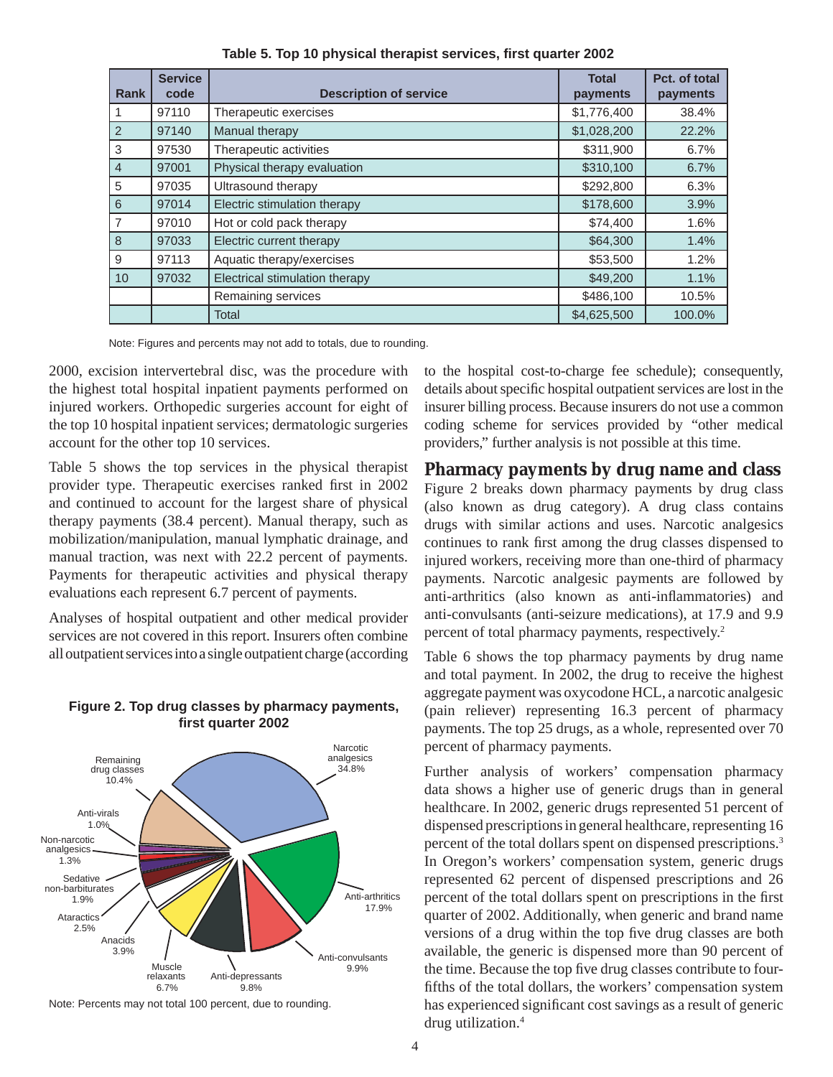| Rank           | <b>Service</b><br>code | <b>Description of service</b>  | <b>Total</b><br>payments | Pct. of total<br>payments |
|----------------|------------------------|--------------------------------|--------------------------|---------------------------|
| 1              | 97110                  | Therapeutic exercises          | \$1,776,400              | 38.4%                     |
| $\vert$ 2      | 97140                  | Manual therapy                 | \$1,028,200              | 22.2%                     |
| 3              | 97530                  | Therapeutic activities         | \$311,900                | 6.7%                      |
| $\overline{4}$ | 97001                  | Physical therapy evaluation    | \$310,100                | 6.7%                      |
| 5              | 97035                  | Ultrasound therapy             | \$292,800                | 6.3%                      |
| $6\phantom{a}$ | 97014                  | Electric stimulation therapy   | \$178,600                | 3.9%                      |
| $\overline{7}$ | 97010                  | Hot or cold pack therapy       | \$74,400                 | 1.6%                      |
| $\delta$       | 97033                  | Electric current therapy       | \$64,300                 | 1.4%                      |
| 9              | 97113                  | Aquatic therapy/exercises      | \$53,500                 | 1.2%                      |
| 10             | 97032                  | Electrical stimulation therapy | \$49,200                 | 1.1%                      |
|                |                        | Remaining services             | \$486,100                | 10.5%                     |
|                |                        | Total                          | \$4,625,500              | 100.0%                    |

Table 5. Top 10 physical therapist services, first quarter 2002

Note: Figures and percents may not add to totals, due to rounding.

2000, excision intervertebral disc, was the procedure with the highest total hospital inpatient payments performed on injured workers. Orthopedic surgeries account for eight of the top 10 hospital inpatient services; dermatologic surgeries account for the other top 10 services.

Table 5 shows the top services in the physical therapist provider type. Therapeutic exercises ranked first in 2002 and continued to account for the largest share of physical therapy payments (38.4 percent). Manual therapy, such as mobilization/manipulation, manual lymphatic drainage, and manual traction, was next with 22.2 percent of payments. Payments for therapeutic activities and physical therapy evaluations each represent 6.7 percent of payments.

Analyses of hospital outpatient and other medical provider services are not covered in this report. Insurers often combine all outpatient services into a single outpatient charge (according



#### **Figure 2. Top drug classes by pharmacy payments, fi rst quarter 2002**

Note: Percents may not total 100 percent, due to rounding.

to the hospital cost-to-charge fee schedule); consequently, details about specific hospital outpatient services are lost in the insurer billing process. Because insurers do not use a common coding scheme for services provided by "other medical providers," further analysis is not possible at this time.

## **Pharmacy payments by drug name and class**

Figure 2 breaks down pharmacy payments by drug class (also known as drug category). A drug class contains drugs with similar actions and uses. Narcotic analgesics continues to rank first among the drug classes dispensed to injured workers, receiving more than one-third of pharmacy payments. Narcotic analgesic payments are followed by anti-arthritics (also known as anti-inflammatories) and anti-convulsants (anti-seizure medications), at 17.9 and 9.9 percent of total pharmacy payments, respectively.2

Table 6 shows the top pharmacy payments by drug name and total payment. In 2002, the drug to receive the highest aggregate payment was oxycodone HCL, a narcotic analgesic (pain reliever) representing 16.3 percent of pharmacy payments. The top 25 drugs, as a whole, represented over 70 percent of pharmacy payments.

Further analysis of workers' compensation pharmacy data shows a higher use of generic drugs than in general healthcare. In 2002, generic drugs represented 51 percent of dispensed prescriptions in general healthcare, representing 16 percent of the total dollars spent on dispensed prescriptions.3 In Oregon's workers' compensation system, generic drugs represented 62 percent of dispensed prescriptions and 26 percent of the total dollars spent on prescriptions in the first quarter of 2002. Additionally, when generic and brand name versions of a drug within the top five drug classes are both available, the generic is dispensed more than 90 percent of the time. Because the top five drug classes contribute to fourfifths of the total dollars, the workers' compensation system has experienced significant cost savings as a result of generic drug utilization.<sup>4</sup>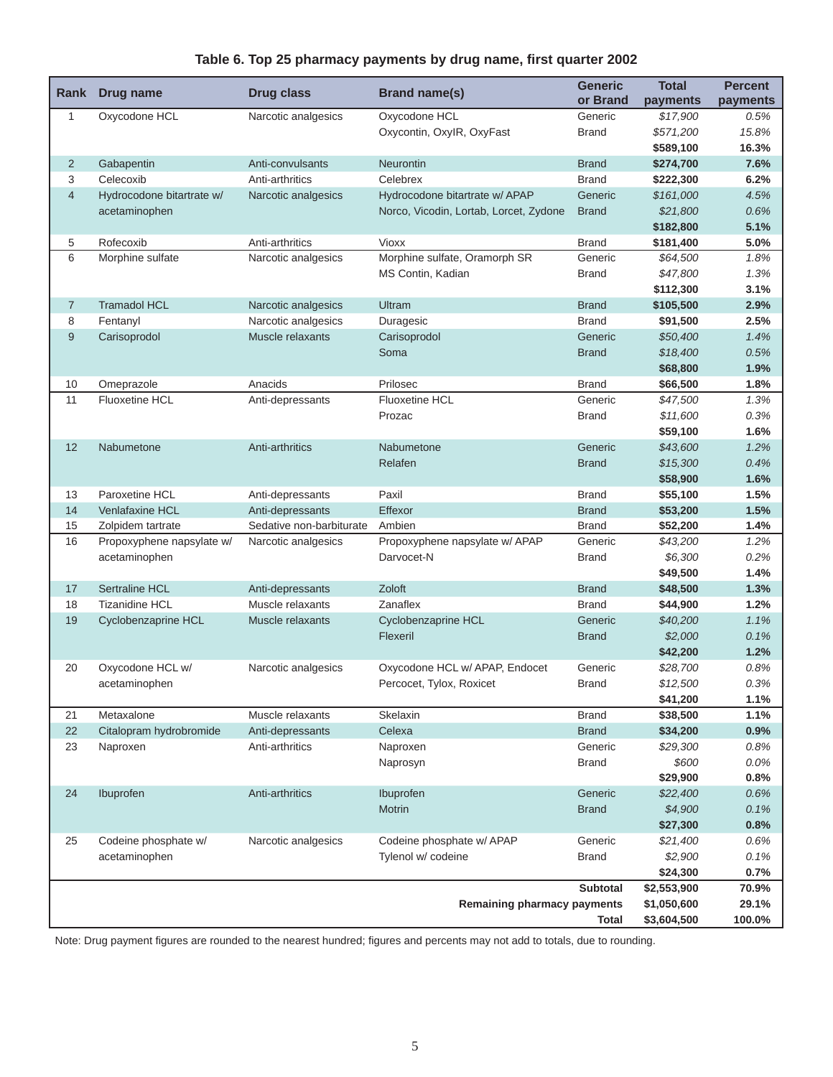### Table 6. Top 25 pharmacy payments by drug name, first quarter 2002

| Rank           | Drug name                 | <b>Drug class</b>        | <b>Brand name(s)</b>                   | <b>Generic</b><br>or Brand | <b>Total</b><br>payments   | <b>Percent</b><br>payments |
|----------------|---------------------------|--------------------------|----------------------------------------|----------------------------|----------------------------|----------------------------|
| 1              | Oxycodone HCL             | Narcotic analgesics      | Oxycodone HCL                          | Generic                    | \$17,900                   | 0.5%                       |
|                |                           |                          | Oxycontin, OxylR, OxyFast              | <b>Brand</b>               | \$571,200                  | 15.8%                      |
|                |                           |                          |                                        |                            | \$589,100                  | 16.3%                      |
| $\overline{2}$ | Gabapentin                | Anti-convulsants         | Neurontin                              | <b>Brand</b>               | \$274,700                  | 7.6%                       |
| 3              | Celecoxib                 | Anti-arthritics          | Celebrex                               | <b>Brand</b>               | \$222,300                  | 6.2%                       |
| $\overline{4}$ | Hydrocodone bitartrate w/ | Narcotic analgesics      | Hydrocodone bitartrate w/ APAP         | Generic                    | \$161,000                  | 4.5%                       |
|                | acetaminophen             |                          | Norco, Vicodin, Lortab, Lorcet, Zydone | <b>Brand</b>               | \$21,800                   | 0.6%                       |
|                |                           |                          |                                        |                            | \$182,800                  | 5.1%                       |
| 5              | Rofecoxib                 | Anti-arthritics          | Vioxx                                  | <b>Brand</b>               | \$181,400                  | 5.0%                       |
| 6              | Morphine sulfate          | Narcotic analgesics      | Morphine sulfate, Oramorph SR          | Generic                    | \$64,500                   | 1.8%                       |
|                |                           |                          | MS Contin, Kadian                      | <b>Brand</b>               | \$47,800                   | 1.3%                       |
|                |                           |                          |                                        |                            | \$112,300                  | 3.1%                       |
| $\overline{7}$ | <b>Tramadol HCL</b>       | Narcotic analgesics      | Ultram                                 | <b>Brand</b>               | \$105,500                  | 2.9%                       |
| 8              | Fentanyl                  | Narcotic analgesics      | Duragesic                              | <b>Brand</b>               | \$91,500                   | 2.5%                       |
| $\overline{9}$ | Carisoprodol              | Muscle relaxants         | Carisoprodol                           | Generic                    | \$50,400                   | 1.4%                       |
|                |                           |                          | Soma                                   | <b>Brand</b>               | \$18,400                   | 0.5%                       |
|                |                           |                          |                                        |                            | \$68,800                   | 1.9%                       |
| 10             | Omeprazole                | Anacids                  | Prilosec                               | <b>Brand</b>               | \$66,500                   | 1.8%                       |
| 11             | <b>Fluoxetine HCL</b>     | Anti-depressants         | <b>Fluoxetine HCL</b>                  | Generic                    | \$47,500                   | 1.3%                       |
|                |                           |                          | Prozac                                 | <b>Brand</b>               | \$11,600                   | 0.3%                       |
|                |                           |                          |                                        |                            | \$59,100                   | 1.6%                       |
| 12             | Nabumetone                | Anti-arthritics          | Nabumetone                             | Generic                    | \$43.600                   | 1.2%                       |
|                |                           |                          | Relafen                                | <b>Brand</b>               | \$15,300                   | 0.4%                       |
|                |                           |                          |                                        |                            | \$58,900                   | 1.6%                       |
| 13             | Paroxetine HCL            | Anti-depressants         | Paxil                                  | <b>Brand</b>               | \$55,100                   | 1.5%                       |
| 14             | <b>Venlafaxine HCL</b>    | Anti-depressants         | Effexor                                | <b>Brand</b>               | \$53,200                   | 1.5%                       |
| 15             | Zolpidem tartrate         | Sedative non-barbiturate | Ambien                                 | <b>Brand</b>               | \$52,200                   | 1.4%                       |
| 16             | Propoxyphene napsylate w/ | Narcotic analgesics      | Propoxyphene napsylate w/ APAP         | Generic                    | \$43,200                   | 1.2%                       |
|                | acetaminophen             |                          | Darvocet-N                             | <b>Brand</b>               | \$6,300                    | 0.2%                       |
|                |                           |                          |                                        |                            | \$49,500                   | 1.4%                       |
| 17             | Sertraline HCL            | Anti-depressants         | Zoloft                                 | <b>Brand</b>               | \$48,500                   | 1.3%                       |
| 18             | <b>Tizanidine HCL</b>     | Muscle relaxants         | Zanaflex                               | <b>Brand</b>               | \$44,900                   | 1.2%                       |
| 19             | Cyclobenzaprine HCL       | Muscle relaxants         | Cyclobenzaprine HCL                    | Generic                    | \$40,200                   | 1.1%                       |
|                |                           |                          | Flexeril                               | <b>Brand</b>               | \$2,000                    | 0.1%                       |
|                |                           |                          |                                        |                            | \$42,200                   | 1.2%                       |
| 20             | Oxycodone HCL w/          | Narcotic analgesics      | Oxycodone HCL w/ APAP, Endocet         | Generic                    | \$28,700                   | 0.8%                       |
|                | acetaminophen             |                          | Percocet, Tylox, Roxicet               | <b>Brand</b>               | \$12,500                   | 0.3%                       |
|                |                           |                          |                                        |                            | \$41,200                   | 1.1%                       |
| 21             | Metaxalone                | Muscle relaxants         | Skelaxin                               | <b>Brand</b>               | \$38,500                   | 1.1%                       |
| 22             | Citalopram hydrobromide   | Anti-depressants         | Celexa                                 | <b>Brand</b>               | \$34,200                   | 0.9%                       |
| 23             | Naproxen                  | Anti-arthritics          | Naproxen                               | Generic                    | \$29,300                   | 0.8%                       |
|                |                           |                          | Naprosyn                               | <b>Brand</b>               | \$600                      | 0.0%                       |
|                |                           |                          |                                        |                            | \$29,900                   | 0.8%                       |
| 24             | Ibuprofen                 | Anti-arthritics          | Ibuprofen                              | Generic                    | \$22,400                   | 0.6%                       |
|                |                           |                          | Motrin                                 | <b>Brand</b>               | \$4,900                    | 0.1%                       |
|                |                           |                          |                                        |                            | \$27,300                   | 0.8%                       |
| 25             | Codeine phosphate w/      | Narcotic analgesics      | Codeine phosphate w/ APAP              | Generic                    | \$21,400                   | 0.6%                       |
|                | acetaminophen             |                          | Tylenol w/ codeine                     | <b>Brand</b>               | \$2,900                    | 0.1%                       |
|                |                           |                          |                                        |                            | \$24,300                   | 0.7%                       |
|                |                           |                          |                                        | <b>Subtotal</b>            | \$2,553,900<br>\$1,050,600 | 70.9%<br>29.1%             |
|                |                           |                          | <b>Remaining pharmacy payments</b>     | <b>Total</b>               | \$3,604,500                | 100.0%                     |
|                |                           |                          |                                        |                            |                            |                            |

Note: Drug payment figures are rounded to the nearest hundred; figures and percents may not add to totals, due to rounding.